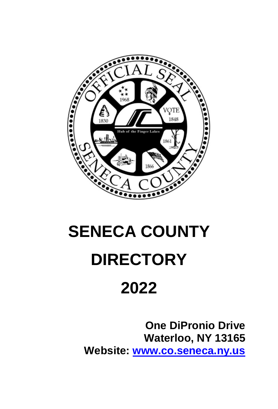

# **SENECA COUNTY DIRECTORY**

# **2022**

**One DiPronio Drive Waterloo, NY 13165 Website: [www.co.seneca.ny.us](http://www.co.seneca.ny.us/)**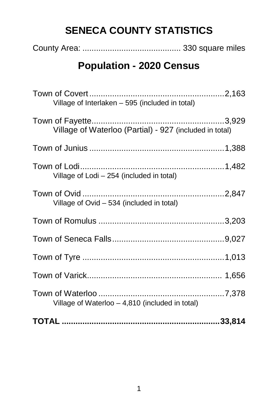# **SENECA COUNTY STATISTICS**

|--|--|--|

# **Population - 2020 Census**

| Village of Interlaken - 595 (included in total)         |  |
|---------------------------------------------------------|--|
| Village of Waterloo (Partial) - 927 (included in total) |  |
|                                                         |  |
| Village of Lodi - 254 (included in total)               |  |
| Village of Ovid - 534 (included in total)               |  |
|                                                         |  |
|                                                         |  |
|                                                         |  |
|                                                         |  |
| Village of Waterloo - 4,810 (included in total)         |  |
|                                                         |  |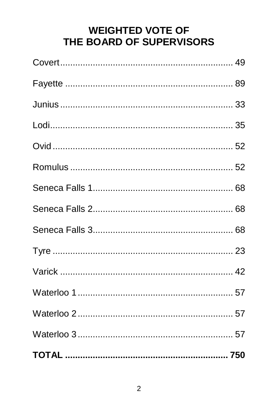# **WEIGHTED VOTE OF** THE BOARD OF SUPERVISORS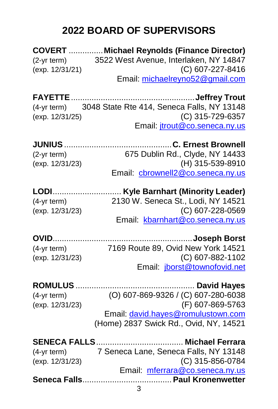# **2022 BOARD OF SUPERVISORS**

|                     | <b>COVERT  Michael Reynolds (Finance Director)</b>                         |
|---------------------|----------------------------------------------------------------------------|
| (2-yr term)         | 3522 West Avenue, Interlaken, NY 14847                                     |
| (exp. 12/31/21)     | (C) 607-227-8416                                                           |
|                     | Email: michaelreyno52@gmail.com                                            |
|                     |                                                                            |
|                     | (4-yr term) 3048 State Rte 414, Seneca Falls, NY 13148                     |
| (exp. 12/31/25)     | (C) 315-729-6357                                                           |
|                     | Email: <i>jtrout@co.seneca.ny.us</i>                                       |
| <b>JUNIUS </b>      | C. Ernest Brownell                                                         |
| $(2-yr term)$       | 675 Dublin Rd., Clyde, NY 14433                                            |
| (exp. 12/31/23)     | (H) 315-539-8910                                                           |
|                     | Email: cbrownell2@co.seneca.ny.us                                          |
|                     |                                                                            |
|                     | LODI Kyle Barnhart (Minority Leader)<br>2130 W. Seneca St., Lodi, NY 14521 |
| (4-yr term)         | (C) 607-228-0569                                                           |
| (exp. 12/31/23)     | Email: kbarnhart@co.seneca.ny.us                                           |
|                     |                                                                            |
|                     |                                                                            |
| (4-yr term)         | 7169 Route 89, Ovid New York 14521                                         |
| (exp. 12/31/23)     | (C) 607-882-1102<br>Email: jborst@townofovid.net                           |
|                     |                                                                            |
| <b>ROMULUS.</b>     |                                                                            |
| (4-yr term)         | (O) 607-869-9326 / (C) 607-280-6038                                        |
| (exp. 12/31/23)     | (F) 607-869-5763                                                           |
|                     | Email: david.hayes@romulustown.com                                         |
|                     | (Home) 2837 Swick Rd., Ovid, NY, 14521                                     |
| <b>SENECA FALLS</b> | Michael Ferrara                                                            |
| $(4-yr term)$       | 7 Seneca Lane, Seneca Falls, NY 13148                                      |
| (exp. 12/31/23)     | (C) 315-856-0784                                                           |
|                     | Email: mferrara@co.seneca.ny.us                                            |
|                     |                                                                            |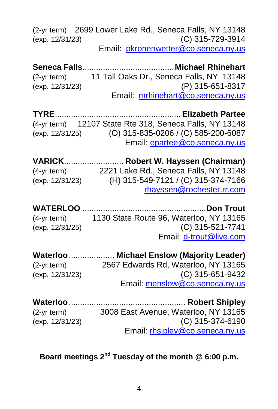|                  | (2-yr term) 2699 Lower Lake Rd., Seneca Falls, NY 13148 |
|------------------|---------------------------------------------------------|
| (exp. 12/31/23)  | (C) 315-729-3914                                        |
|                  | Email: pkronenwetter@co.seneca.ny.us                    |
|                  |                                                         |
|                  | (2-yr term) 11 Tall Oaks Dr., Seneca Falls, NY 13148    |
| (exp. 12/31/23)  | (P) 315-651-8317                                        |
|                  | Email: mrhinehart@co.seneca.ny.us                       |
|                  |                                                         |
| <b>TYRE</b>      | Elizabeth Partee                                        |
|                  | (4-yr term) 12107 State Rte 318, Seneca Falls, NY 13148 |
|                  | (exp. 12/31/25) (O) 315-835-0206 / (C) 585-200-6087     |
|                  | Email: epartee@co.seneca.ny.us                          |
|                  | VARICK Robert W. Hayssen (Chairman)                     |
| (4-yr term)      | 2221 Lake Rd., Seneca Falls, NY 13148                   |
| (exp. 12/31/23)  | (H) 315-549-7121 / (C) 315-374-7166                     |
|                  | rhayssen@rochester.rr.com                               |
|                  |                                                         |
|                  | ……………Don Trout                                          |
| $(4-yr term)$    | 1130 State Route 96, Waterloo, NY 13165                 |
| (exp. 12/31/25)  | (C) 315-521-7741                                        |
|                  | Email: d-trout@live.com                                 |
|                  | Waterloo  Michael Enslow (Majority Leader)              |
| $(2-yr term)$    | 2567 Edwards Rd, Waterloo, NY 13165                     |
| (exp. 12/31/23)  | (C) 315-651-9432                                        |
|                  | Email: menslow@co.seneca.ny.us                          |
|                  |                                                         |
| <b>Waterloo </b> | Robert Shipley                                          |
| $(2-yr term)$    | 3008 East Avenue, Waterloo, NY 13165                    |
| (exp. 12/31/23)  | (C) 315-374-6190                                        |
|                  | Email: rhsipley@co.seneca.ny.us                         |

# **Board meetings 2nd Tuesday of the month @ 6:00 p.m.**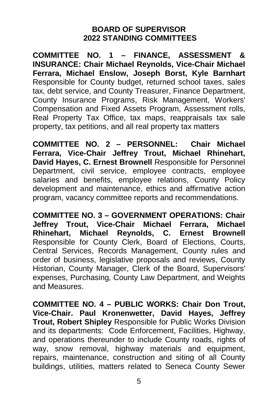# **BOARD OF SUPERVISOR 2022 STANDING COMMITTEES**

**COMMITTEE NO. 1 – FINANCE, ASSESSMENT & INSURANCE: Chair Michael Reynolds, Vice-Chair Michael Ferrara, Michael Enslow, Joseph Borst, Kyle Barnhart** Responsible for County budget, returned school taxes, sales tax, debt service, and County Treasurer, Finance Department, County Insurance Programs, Risk Management, Workers' Compensation and Fixed Assets Program, Assessment rolls, Real Property Tax Office, tax maps, reappraisals tax sale property, tax petitions, and all real property tax matters

**COMMITTEE NO. 2 – PERSONNEL: Chair Michael Ferrara, Vice-Chair Jeffrey Trout, Michael Rhinehart, David Hayes, C. Ernest Brownell** Responsible for Personnel Department, civil service, employee contracts, employee salaries and benefits, employee relations, County Policy development and maintenance, ethics and affirmative action program, vacancy committee reports and recommendations.

**COMMITTEE NO. 3 – GOVERNMENT OPERATIONS: Chair Jeffrey Trout, Vice-Chair Michael Ferrara, Michael Rhinehart, Michael Reynolds, C. Ernest Brownell** Responsible for County Clerk, Board of Elections, Courts, Central Services, Records Management, County rules and order of business, legislative proposals and reviews, County Historian, County Manager, Clerk of the Board, Supervisors' expenses, Purchasing, County Law Department, and Weights and Measures.

**COMMITTEE NO. 4 – PUBLIC WORKS: Chair Don Trout, Vice-Chair. Paul Kronenwetter, David Hayes, Jeffrey Trout, Robert Shipley** Responsible for Public Works Division and its departments: Code Enforcement, Facilities, Highway, and operations thereunder to include County roads, rights of way, snow removal, highway materials and equipment, repairs, maintenance, construction and siting of all County buildings, utilities, matters related to Seneca County Sewer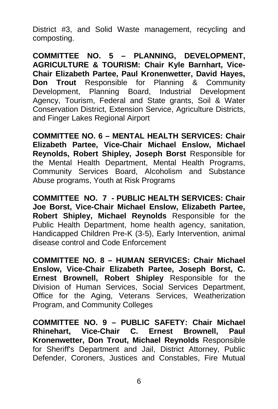District #3, and Solid Waste management, recycling and composting.

**COMMITTEE NO. 5 – PLANNING, DEVELOPMENT, AGRICULTURE & TOURISM: Chair Kyle Barnhart, Vice-Chair Elizabeth Partee, Paul Kronenwetter, David Hayes, Don Trout** Responsible for Planning & Community Development, Planning Board, Industrial Development Agency, Tourism, Federal and State grants, Soil & Water Conservation District, Extension Service, Agriculture Districts, and Finger Lakes Regional Airport

**COMMITTEE NO. 6 – MENTAL HEALTH SERVICES: Chair Elizabeth Partee, Vice-Chair Michael Enslow, Michael Reynolds, Robert Shipley, Joseph Borst** Responsible for the Mental Health Department, Mental Health Programs, Community Services Board, Alcoholism and Substance Abuse programs, Youth at Risk Programs

**COMMITTEE NO. 7 - PUBLIC HEALTH SERVICES: Chair Joe Borst, Vice-Chair Michael Enslow, Elizabeth Partee, Robert Shipley, Michael Reynolds** Responsible for the Public Health Department, home health agency, sanitation, Handicapped Children Pre-K (3-5), Early Intervention, animal disease control and Code Enforcement

**COMMITTEE NO. 8 – HUMAN SERVICES: Chair Michael Enslow, Vice-Chair Elizabeth Partee, Joseph Borst, C. Ernest Brownell, Robert Shipley** Responsible for the Division of Human Services, Social Services Department, Office for the Aging, Veterans Services, Weatherization Program, and Community Colleges

**COMMITTEE NO. 9 – PUBLIC SAFETY: Chair Michael Rhinehart, Vice-Chair C. Ernest Brownell, Paul Kronenwetter, Don Trout, Michael Reynolds** Responsible for Sheriff's Department and Jail, District Attorney, Public Defender, Coroners, Justices and Constables, Fire Mutual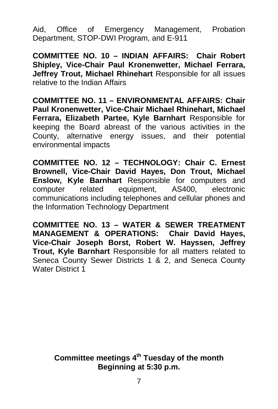Aid, Office of Emergency Management, Probation Department, STOP-DWI Program, and E-911

**COMMITTEE NO. 10 – INDIAN AFFAIRS: Chair Robert Shipley, Vice-Chair Paul Kronenwetter, Michael Ferrara, Jeffrey Trout, Michael Rhinehart** Responsible for all issues relative to the Indian Affairs

**COMMITTEE NO. 11 – ENVIRONMENTAL AFFAIRS: Chair Paul Kronenwetter, Vice-Chair Michael Rhinehart, Michael Ferrara, Elizabeth Partee, Kyle Barnhart** Responsible for keeping the Board abreast of the various activities in the County, alternative energy issues, and their potential environmental impacts

**COMMITTEE NO. 12 – TECHNOLOGY: Chair C. Ernest Brownell, Vice-Chair David Hayes, Don Trout, Michael Enslow, Kyle Barnhart** Responsible for computers and computer related equipment. AS400. electronic equipment, AS400, electronic communications including telephones and cellular phones and the Information Technology Department

**COMMITTEE NO. 13 – WATER & SEWER TREATMENT MANAGEMENT & OPERATIONS: Chair David Hayes, Vice-Chair Joseph Borst, Robert W. Hayssen, Jeffrey Trout, Kyle Barnhart** Responsible for all matters related to Seneca County Sewer Districts 1 & 2, and Seneca County Water District 1

> **Committee meetings 4th Tuesday of the month Beginning at 5:30 p.m.**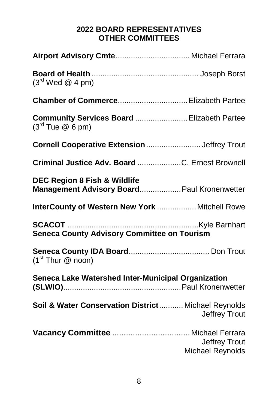# **2022 BOARD REPRESENTATIVES OTHER COMMITTEES**

| $(3rd$ Wed @ 4 pm)                                                                     |                                          |
|----------------------------------------------------------------------------------------|------------------------------------------|
|                                                                                        |                                          |
| Community Services Board  Elizabeth Partee<br>$(3rd$ Tue $@6$ pm)                      |                                          |
| Cornell Cooperative Extension  Jeffrey Trout                                           |                                          |
| Criminal Justice Adv. Board C. Ernest Brownell                                         |                                          |
| <b>DEC Region 8 Fish &amp; Wildlife</b><br>Management Advisory Board Paul Kronenwetter |                                          |
| InterCounty of Western New York  Mitchell Rowe                                         |                                          |
| <b>Seneca County Advisory Committee on Tourism</b>                                     |                                          |
| (1 <sup>st</sup> Thur @ noon)                                                          |                                          |
| Seneca Lake Watershed Inter-Municipal Organization                                     |                                          |
| Soil & Water Conservation District Michael Reynolds                                    | Jeffrey Trout                            |
|                                                                                        | Jeffrey Trout<br><b>Michael Reynolds</b> |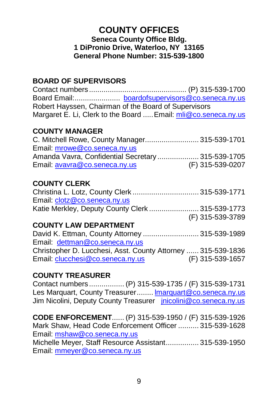# **COUNTY OFFICES Seneca County Office Bldg. 1 DiPronio Drive, Waterloo, NY 13165 General Phone Number: 315-539-1800**

# **BOARD OF SUPERVISORS**

Contact numbers ............................................... (P) 315-539-1700 Board Email:...................... [boardofsupervisors@co.seneca.ny.us](mailto:boardofsupervisors@co.seneca.ny.us) Robert Hayssen, Chairman of the Board of Supervisors Margaret E. Li, Clerk to the Board ..... Email: [mli@co.seneca.ny.us](mailto:mli@co.seneca.ny.us)

# **COUNTY MANAGER**

| C. Mitchell Rowe, County Manager 315-539-1701     |                  |
|---------------------------------------------------|------------------|
| Email: mrowe@co.seneca.nv.us                      |                  |
| Amanda Vavra, Confidential Secretary 315-539-1705 |                  |
| Email: avavra@co.seneca.ny.us                     | (F) 315-539-0207 |

# **COUNTY CLERK**

| Christina L. Lotz, County Clerk  315-539-1771    |                  |
|--------------------------------------------------|------------------|
| Email: clotz@co.seneca.ny.us                     |                  |
| Katie Merkley, Deputy County Clerk  315-539-1773 |                  |
|                                                  | (F) 315-539-3789 |

# **COUNTY LAW DEPARTMENT**

David K. Ettman, County Attorney ........................... 315-539-1989 Email: [dettman@co.seneca.ny.us](mailto:dettman@co.seneca.ny.us) Christopher D. Lucchesi, Asst. County Attorney ...... 315-539-1836 Email[: clucchesi@co.seneca.ny.us](mailto:clucchesi@co.seneca.ny.us) (F) 315-539-1657

# **COUNTY TREASURER**

Contact numbers ................. (P) 315-539-1735 / (F) 315-539-1731 Les Marquart, County Treasurer........ [lmarquart@co.seneca.ny.us](mailto:lmarquart@co.seneca.ny.us) Jim Nicolini, Deputy County Treasurer [jnicolini@co.seneca.ny.us](mailto:jnicolini@co.seneca.ny.us)

**CODE ENFORCEMENT**...... (P) 315-539-1950 / (F) 315-539-1926 Mark Shaw, Head Code Enforcement Officer .......... 315-539-1628 Email[: mshaw@co.seneca.ny.us](mailto:mshaw@co.seneca.ny.us) Michelle Meyer, Staff Resource Assistant................ 315-539-1950 Email[: mmeyer@co.seneca.ny.us](mailto:mmeyer@co.seneca.ny.us)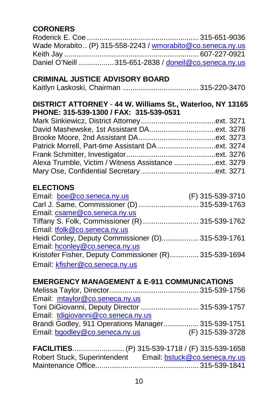# **CORONERS**

| Wade Morabito (P) 315-558-2243 / wmorabito@co.seneca.ny.us |  |
|------------------------------------------------------------|--|
|                                                            |  |
| Daniel O'Neill 315-651-2838 / doneil@co.seneca.ny.us       |  |

# **CRIMINAL JUSTICE ADVISORY BOARD**

|--|--|--|--|--|

# **DISTRICT ATTORNEY** - **44 W. Williams St., Waterloo, NY 13165 PHONE: 315-539-1300 / FAX: 315-539-0531**

# **ELECTIONS**

| Email: boe@co.seneca.ny.us                             | (F) 315-539-3710 |
|--------------------------------------------------------|------------------|
| Carl J. Same, Commissioner (D)  315-539-1763           |                  |
| Email: csame@co.seneca.ny.us                           |                  |
| Tiffany S. Folk, Commissioner (R)  315-539-1762        |                  |
| Email: tfolk@co.seneca.ny.us                           |                  |
| Heidi Conley, Deputy Commissioner (D) 315-539-1761     |                  |
| Email: hconley@co.seneca.ny.us                         |                  |
| Kristofer Fisher, Deputy Commissioner (R) 315-539-1694 |                  |
| Email: kfisher@co.seneca.ny.us                         |                  |

# **EMERGENCY MANAGEMENT & E-911 COMMUNICATIONS**

| Email: mtaylor@co.seneca.ny.us                     |                  |
|----------------------------------------------------|------------------|
| Toni DiGiovanni, Deputy Director  315-539-1757     |                  |
| Email: tdigiovanni@co.seneca.ny.us                 |                  |
| Brandi Godley, 911 Operations Manager 315-539-1751 |                  |
| Email: bgodley@co.seneca.ny.us                     | (F) 315-539-3728 |
|                                                    |                  |

**FACILITIES**......................... (P) 315-539-1718 / (F) 315-539-1658 Robert Stuck, Superintendent Email: [bstuck@co.seneca.ny.us](mailto:bstuck@co.seneca.ny.us) Maintenance Office.................................................. 315-539-1841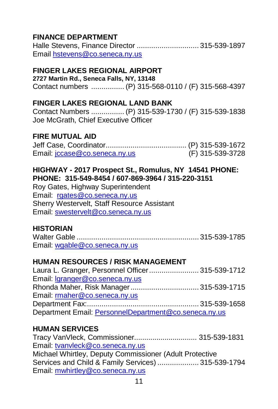# **FINANCE DEPARTMENT**

Halle Stevens, Finance Director .............................. 315-539-1897 Emai[l hstevens@co.seneca.ny.us](mailto:hstevens@co.seneca.ny.us)

# **FINGER LAKES REGIONAL AIRPORT**

**2727 Martin Rd., Seneca Falls, NY, 13148** Contact numbers ................ (P) 315-568-0110 / (F) 315-568-4397

### **FINGER LAKES REGIONAL LAND BANK**

Contact Numbers ................ (P) 315-539-1730 / (F) 315-539-1838 Joe McGrath, Chief Executive Officer

### **FIRE MUTUAL AID**

| Email: jccase@co.seneca.ny.us | (F) 315-539-3728 |
|-------------------------------|------------------|

# **HIGHWAY - 2017 Prospect St., Romulus, NY 14541 PHONE: PHONE: 315-549-8454 / 607-869-3964 / 315-220-3151**

Roy Gates, Highway Superintendent Email: [rgates@co.seneca.ny.us](mailto:rgates@co.seneca.ny.us) Sherry Westervelt, Staff Resource Assistant Email[: swestervelt@co.seneca.ny.us](mailto:swestervelt@co.seneca.ny.us)

# **HISTORIAN**

| Email. wgable@co.seneca.nv.us |  |
|-------------------------------|--|

# **HUMAN RESOURCES / RISK MANAGEMENT**

| Laura L. Granger, Personnel Officer 315-539-1712      |  |
|-------------------------------------------------------|--|
| Email: Igranger@co.seneca.ny.us                       |  |
|                                                       |  |
| Email: rmaher@co.seneca.ny.us                         |  |
|                                                       |  |
| Department Email: PersonnelDepartment@co.seneca.ny.us |  |

# **HUMAN SERVICES**

Tracy VanVleck, Commissioner............................... 315-539-1831 Email[: tvanvleck@co.seneca.ny.us](mailto:tvanvleck@co.seneca.ny.us) Michael Whirtley, Deputy Commissioner (Adult Protective Services and Child & Family Services) .................... 315-539-1794 Email[: mwhirtley@co.seneca.ny.us](mailto:mwhirtley@co.seneca.ny.us)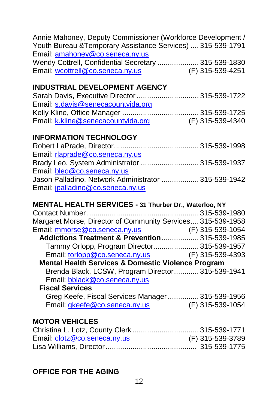| Annie Mahoney, Deputy Commissioner (Workforce Development /<br>Youth Bureau & Temporary Assistance Services)  315-539-1791<br>Email: amahoney@co.seneca.ny.us |  |
|---------------------------------------------------------------------------------------------------------------------------------------------------------------|--|
| Wendy Cottrell, Confidential Secretary  315-539-1830<br>Email: wcottrell@co.seneca.ny.us<br>(F) 315-539-4251                                                  |  |
|                                                                                                                                                               |  |
| <b>INDUSTRIAL DEVELOPMENT AGENCY</b>                                                                                                                          |  |
| Sarah Davis, Executive Director  315-539-1722                                                                                                                 |  |
| Email: s.davis@senecacountyida.org                                                                                                                            |  |
|                                                                                                                                                               |  |
| Email: kkline@senecacountyida.org (F) 315-539-4340                                                                                                            |  |
|                                                                                                                                                               |  |
| <b>INFORMATION TECHNOLOGY</b>                                                                                                                                 |  |
|                                                                                                                                                               |  |
| Email: rlaprade@co.seneca.ny.us                                                                                                                               |  |
| Brady Leo, System Administrator  315-539-1937                                                                                                                 |  |
| Email: bleo@co.seneca.ny.us                                                                                                                                   |  |
| Jason Palladino, Network Administrator  315-539-1942                                                                                                          |  |
| Email: jpalladino@co.seneca.ny.us                                                                                                                             |  |
|                                                                                                                                                               |  |
| MENTAL HEALTH SERVICES - 31 Thurber Dr., Waterloo, NY                                                                                                         |  |
|                                                                                                                                                               |  |
| Margaret Morse, Director of Community Services 315-539-1958                                                                                                   |  |
| Email: mmorse@co.seneca.ny.us (F) 315-539-1054                                                                                                                |  |
| Addictions Treatment & Prevention 315-539-1985                                                                                                                |  |
| Tammy Orlopp, Program Director 315-539-1957                                                                                                                   |  |
| Email: torlopp@co.seneca.ny.us (F) 315-539-4393                                                                                                               |  |
| Mental Health Services & Domestic Violence Program                                                                                                            |  |
| Brenda Black, LCSW, Program Director 315-539-1941                                                                                                             |  |
| Email: bblack@co.seneca.ny.us                                                                                                                                 |  |

### **Fiscal Services** Greg Keefe, Fiscal Services Manager................ 315-539-1956<br>Email: <u>gkeefe@co.seneca.ny.us</u> (F) 315-539-1054 Email: [gkeefe@co.seneca.ny.us](mailto:gkeefe@co.seneca.ny.us)

# **MOTOR VEHICLES**

| Christina L. Lotz, County Clerk  315-539-1771 |                  |
|-----------------------------------------------|------------------|
| Email: clotz@co.seneca.ny.us                  | (F) 315-539-3789 |
|                                               |                  |

# **OFFICE FOR THE AGING**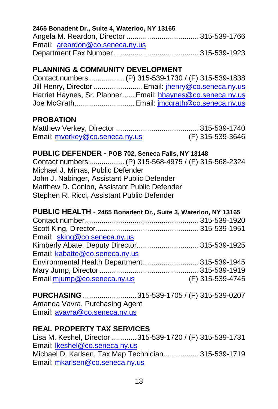### **2465 Bonadent Dr., Suite 4, Waterloo, NY 13165**

| Email: areardon@co.seneca.nv.us |  |
|---------------------------------|--|
|                                 |  |

# **PLANNING & COMMUNITY DEVELOPMENT**

| Contact numbers  (P) 315-539-1730 / (F) 315-539-1838       |
|------------------------------------------------------------|
| Jill Henry, Director  Email: jhenry@co.seneca.ny.us        |
| Harriet Haynes, Sr. Planner Email: hhaynes@co.seneca.ny.us |
| Joe McGrath Email: jmcgrath@co.seneca.ny.us                |

# **PROBATION**

| Email: mverkey@co.seneca.ny.us | (F) 315-539-3646 |
|--------------------------------|------------------|

### **PUBLIC DEFENDER - POB 702, Seneca Falls, NY 13148**

Contact numbers ................. (P) 315-568-4975 / (F) 315-568-2324 Michael J. Mirras, Public Defender John J. Nabinger, Assistant Public Defender Matthew D. Conlon, Assistant Public Defender Stephen R. Ricci, Assistant Public Defender

### **PUBLIC HEALTH - 2465 Bonadent Dr., Suite 3, Waterloo, NY 13165**

| Email: sking@co.seneca.ny.us                 |                  |
|----------------------------------------------|------------------|
| Kimberly Abate, Deputy Director 315-539-1925 |                  |
| Email: kabatte@co.seneca.ny.us               |                  |
| Environmental Health Department 315-539-1945 |                  |
|                                              |                  |
| Email mjump@co.seneca.ny.us                  | (F) 315-539-4745 |
|                                              |                  |

**PURCHASING** ..........................315-539-1705 / (F) 315-539-0207 Amanda Vavra, Purchasing Agent Email: [avavra@co.seneca.ny.us](mailto:avavra@co.seneca.ny.us)

# **REAL PROPERTY TAX SERVICES**

Lisa M. Keshel, Director ............315-539-1720 / (F) 315-539-1731 Email[: lkeshel@co.seneca.ny.us](mailto:lkeshel@co.seneca.ny.us) Michael D. Karlsen, Tax Map Technician................. 315-539-1719 Email[: mkarlsen@co.seneca.ny.us](mailto:mkarlsen@co.seneca.ny.us)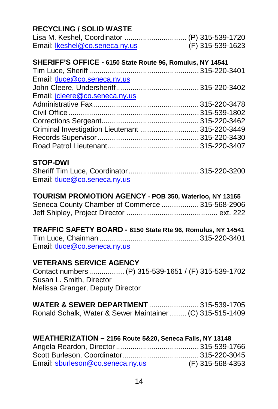# **RECYCLING / SOLID WASTE**

| Email: Ikeshel@co.seneca.nv.us | (F) 315-539-1623 |
|--------------------------------|------------------|

### **SHERIFF'S OFFICE - 6150 State Route 96, Romulus, NY 14541**

| Email: tluce@co.seneca.ny.us                    |  |
|-------------------------------------------------|--|
|                                                 |  |
| Email: jcleere@co.seneca.ny.us                  |  |
|                                                 |  |
|                                                 |  |
|                                                 |  |
| Criminal Investigation Lieutenant  315-220-3449 |  |
|                                                 |  |
|                                                 |  |
|                                                 |  |

### **STOP-DWI**

| Email: tluce@co.seneca.nv.us |  |
|------------------------------|--|

### **TOURISM PROMOTION AGENCY - POB 350, Waterloo, NY 13165**

| Seneca County Chamber of Commerce  315-568-2906 |  |
|-------------------------------------------------|--|
|                                                 |  |

### **TRAFFIC SAFETY BOARD - 6150 State Rte 96, Romulus, NY 14541**

| Email: tluce@co.seneca.nv.us |  |
|------------------------------|--|

# **VETERANS SERVICE AGENCY**

Contact numbers ................. (P) 315-539-1651 / (F) 315-539-1702 Susan L. Smith, Director Melissa Granger, Deputy Director

| <b>WATER &amp; SEWER DEPARTMENT</b> 315-539-1705          |  |
|-----------------------------------------------------------|--|
| Ronald Schalk, Water & Sewer Maintainer  (C) 315-515-1409 |  |

# **WEATHERIZATION – 2156 Route 5&20, Seneca Falls, NY 13148**

| Email: sburleson@co.seneca.nv.us | (F) 315-568-4353 |
|----------------------------------|------------------|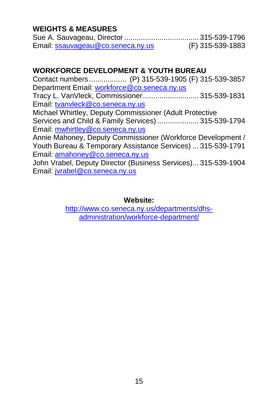# **WEIGHTS & MEASURES**

| Email: ssauvageau@co.seneca.ny.us | (F) 315-539-1883 |
|-----------------------------------|------------------|

# **WORKFORCE DEVELOPMENT & YOUTH BUREAU**

Contact numbers .................. (P) 315-539-1905 (F) 315-539-3857 Department Email[: workforce@co.seneca.ny.us](mailto:workforce@co.seneca.ny.us) Tracy L. VanVleck, Commissioner........................... 315-539-1831 Email[: tvanvleck@co.seneca.ny.us](mailto:tvanvleck@co.seneca.ny.us) Michael Whirtley, Deputy Commissioner (Adult Protective Services and Child & Family Services) .................... 315-539-1794 Email[: mwhirtley@co.seneca.ny.us](mailto:mwhirtley@co.seneca.ny.us) Annie Mahoney, Deputy Commissioner (Workforce Development / Youth Bureau & Temporary Assistance Services) ... 315-539-1791 Email[: amahoney@co.seneca.ny.us](mailto:amahoney@co.seneca.ny.us) John Vrabel, Deputy Director (Business Services)... 315-539-1904 Email[: jvrabel@co.seneca.ny.us](mailto:jvrabel@co.seneca.ny.us)

### **Website:**

[http://www.co.seneca.ny.us/departments/dhs](http://www.co.seneca.ny.us/departments/dhs-administration/workforce-department/)[administration/workforce-department/](http://www.co.seneca.ny.us/departments/dhs-administration/workforce-department/)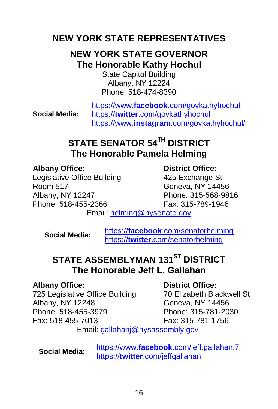# **NEW YORK STATE REPRESENTATIVES**

# **NEW YORK STATE GOVERNOR The Honorable Kathy Hochul**

State Capitol Building Albany, NY 12224 Phone: 518-474-8390

**Social Media:**

https://www.**facebook**[.com/govkathyhochul](https://www.facebook.com/govkathyhochul) https://**twitter**[.com/govkathyhochul](https://twitter.com/govkathyhochul) https://www.**instagram**[.com/govkathyhochul/](https://www.instagram.com/govkathyhochul/)

# **STATE SENATOR 54TH DISTRICT The Honorable Pamela Helming**

**Albany Office: District Office:** Legislative Office Building Room 517 Geneva, NY 14456 Albany, NY 12247 Phone: 315-568-9816 Phone: 518-455-2366 Fax: 315-789-1946

Email[: helming@nysenate.gov](mailto:helming@nysenate.gov)

**Social Media:** https://**facebook**[.com/senatorhelming](https://facebook.com/senatorhelming) https://**twitter**[.com/senatorhelming](https://twitter.com/senatorhelming)

# **STATE ASSEMBLYMAN 131<sup>ST</sup> DISTRICT The Honorable Jeff L. Gallahan**

**Albany Office: District Office:** 725 Legislative Office Building Albany, NY 12248 Geneva, NY 14456 Phone: 518-455-3979 Phone: 315-781-2030 Fax: 518-455-7013 Fax: 315-781-1756

Email[: gallahanj@nysassembly.gov](mailto:gallahanj@nysassembly.gov)

**Social Media:** https://www.**facebook**[.com/jeff.gallahan.7](https://www.facebook.com/jeff.gallahan.7) https://**twitter**[.com/jeffgallahan](https://twitter.com/senatorhelming)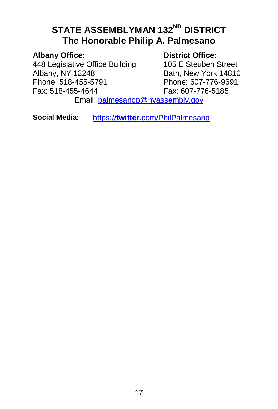# **STATE ASSEMBLYMAN 132<sup>ND</sup> DISTRICT The Honorable Philip A. Palmesano**

**Albany Office: District Office:** 448 Legislative Office Building<br>Albany, NY 12248 Albany, NY 12248 Bath, New York 14810<br>
Phone: 518-455-5791 Phone: 607-776-9691 Fax: 518-455-4644

Phone: 607-776-9691<br>Fax: 607-776-5185

Email: [palmesanop@nyassembly.gov](mailto:palmesanop@nyassembly.gov)

**Social Media:** https://**twitter**[.com/PhilPalmesano](https://twitter.com/PhilPalmesano)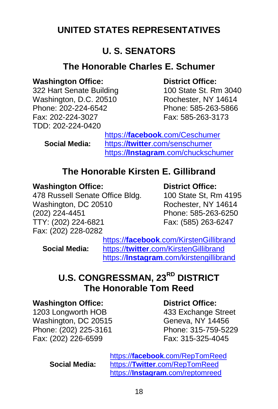# **UNITED STATES REPRESENTATIVES**

# **U. S. SENATORS**

# **The Honorable Charles E. Schumer**

# **Washington Office: District Office:**

322 Hart Senate Building Washington, D.C. 20510 Rochester, NY 14614 Phone: 202-224-6542 Phone: 585-263-5866 Fax: 202-224-3027 Fax: 585-263-3173 TDD: 202-224-0420

**Social Media:**

https://**facebook**[.com/Ceschumer](https://facebook.com/Ceschumer) https:/**/twitter**[.com/senschumer](https://twitter.com/senschumer) https:/**/Instagram**[.com/chuckschumer](https://instagram.com/chuckschumer)

# **The Honorable Kirsten E. Gillibrand**

# **Washington Office: District Office:**

478 Russell Senate Office Bldg. 100 State St, Rm 4195 Washington, DC 20510 Rochester, NY 14614 (202) 224-4451 Phone: 585-263-6250 Fax: (202) 228-0282

Fax: (585) 263-6247

**Social Media:**

https://**facebook**[.com/KirstenGillibrand](https://facebook.com/KirstenGillibrand) https://**twitter**[.com/KirstenGillibrand](https://twitter.com/KirstenGillibrand) https://**Instagram**[.com/kirstengillibrand](https://instagram.com/kirstengillibrand)

# **U.S. CONGRESSMAN, 23RD DISTRICT The Honorable Tom Reed**

### **Washington Office: District Office:**

1203 Longworth HOB 433 Exchange Street Washington, DC 20515 Geneva, NY 14456 Phone: (202) 225-3161 Phone: 315-759-5229 Fax: (202) 226-6599 Fax: 315-325-4045

**Social Media:**

https://**facebook**[.com/RepTomReed](https://facebook.com/RepTomReed) https://**Twitter**[.com/RepTomReed](https://twitter.com/RepTomReed) https://**Instagram**[.com/reptomreed](https://instagram.com/reptomreed)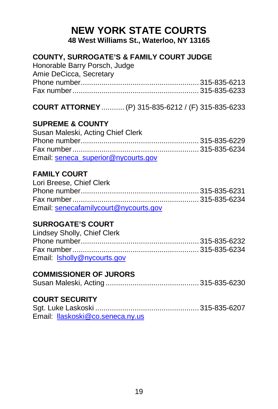# **NEW YORK STATE COURTS 48 West Williams St., Waterloo, NY 13165**

# **COUNTY, SURROGATE'S & FAMILY COURT JUDGE**

Honorable Barry Porsch, Judge Amie DeCicca, Secretary Phone number......................................................... 315-835-6213 Fax number............................................................. 315-835-6233

# **COURT ATTORNEY**........... (P) 315-835-6212 / (F) 315-835-6233

# **SUPREME & COUNTY**

| Susan Maleski, Acting Chief Clerk   |  |
|-------------------------------------|--|
|                                     |  |
|                                     |  |
| Email: seneca superior@nycourts.gov |  |

# **FAMILY COURT**

| Lori Breese, Chief Clerk              |  |
|---------------------------------------|--|
|                                       |  |
|                                       |  |
| Email: senecafamilycourt@nycourts.gov |  |

# **SURROGATE'S COURT**

| Lindsey Sholly, Chief Clerk |  |
|-----------------------------|--|
|                             |  |
|                             |  |
| Email: Isholly@nycourts.gov |  |

### **COMMISSIONER OF JURORS**

|--|--|--|

# **COURT SECURITY**

| Email: Ilaskoski@co.seneca.nv.us |  |
|----------------------------------|--|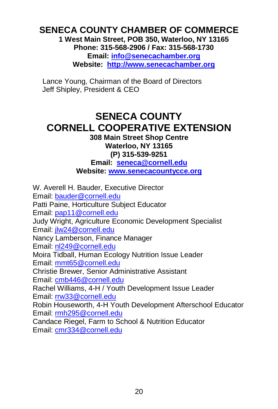## **SENECA COUNTY CHAMBER OF COMMERCE 1 West Main Street, POB 350, Waterloo, NY 13165 Phone: 315-568-2906 / Fax: 315-568-1730 Email[: info@senecachamber.org](mailto:info@senecachamber.org)**

**Website: [http://www.senecachamber.org](http://www.senecachamber.org/)**

Lance Young, Chairman of the Board of Directors Jeff Shipley, President & CEO

# **SENECA COUNTY CORNELL COOPERATIVE EXTENSION**

**308 Main Street Shop Centre Waterloo, NY 13165 (P) 315-539-9251 Email: [seneca@cornell.edu](mailto:seneca@cornell.edu) Website[: www.senecacountycce.org](http://www.senecacountycce.org/)**

W. Averell H. Bauder, Executive Director Email[: bauder@cornell.edu](mailto:bauder@cornell.edu) Patti Paine, Horticulture Subject Educator Email[: pap11@cornell.edu](mailto:pap11@cornell.edu) Judy Wright, Agriculture Economic Development Specialist Email[: jlw24@cornell.edu](mailto:jlw24@cornell.edu) Nancy Lamberson, Finance Manager Email[: nl249@cornell.edu](mailto:nl249@cornell.edu)  Moira Tidball, Human Ecology Nutrition Issue Leader Email[: mmt65@cornell.edu](mailto:mmt65@cornell.edu) Christie Brewer, Senior Administrative Assistant Email[: cmb446@cornell.edu](mailto:cmb446@cornell.edu) Rachel Williams, 4-H / Youth Development Issue Leader Email[: rrw33@cornell.edu](mailto:rrw33@cornell.edu) Robin Houseworth, 4-H Youth Development Afterschool Educator Email[: rmh295@cornell.edu](mailto:rmh295@cornell.edu) Candace Riegel, Farm to School & Nutrition Educator Email[: cmr334@cornell.edu](mailto:cmr334@cornell.edu)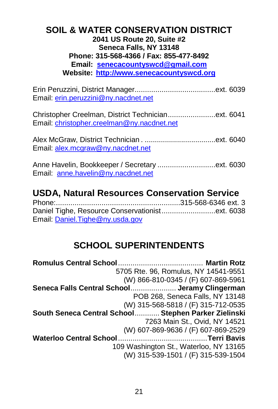# **SOIL & WATER CONSERVATION DISTRICT 2041 US Route 20, Suite #2 Seneca Falls, NY 13148 Phone: 315-568-4366 / Fax: 855-477-8492 Email: [senecacountyswcd@gmail.com](mailto:senecacountyswcd@gmail.com) Website: [http://www.senecacountyswcd.org](https://gcc02.safelinks.protection.outlook.com/?url=http%3A%2F%2Fwww.senecacountyswcd.org%2F&data=04%7C01%7C%7Ca2407e2e8446469970f708d8c3b2a37f%7Ced5b36e701ee4ebc867ee03cfa0d4697%7C0%7C0%7C637474519440026493%7CUnknown%7CTWFpbGZsb3d8eyJWIjoiMC4wLjAwMDAiLCJQIjoiV2luMzIiLCJBTiI6Ik1haWwiLCJXVCI6Mn0%3D%7C1000&sdata=ONrFgDeEcVwcX5FP8TD22sM%2FmLnqqjgvvNIMr%2BUdBqU%3D&reserved=0)**

Erin Peruzzini, District Manager.......................................ext. 6039 Email[: erin.peruzzini@ny.nacdnet.net](mailto:erin.peruzzini@ny.nacdnet.net)

Christopher Creelman, District Technician.......................ext. 6041 Email[: christopher.creelman@ny.nacdnet.net](mailto:christopher.creelman@ny.nacdnet.net)

Alex McGraw, District Technician . ...................................ext. 6040 Email[: alex.mcgraw@ny.nacdnet.net](mailto:alex.mcgraw@ny.nacdnet.net)

Anne Havelin, Bookkeeper / Secretary ..................................ext. 6030 Email: [anne.havelin@ny.nacdnet.net](mailto:anne.havelin@ny.nacdnet.net)

# **USDA, Natural Resources Conservation Service**

Phone:............................................................315-568-6346 ext. 3 Daniel Tighe, Resource Conservationist..........................ext. 6038 Email[: Daniel.Tighe@ny.usda.gov](mailto:Daniel.Tighe@ny.usda.gov)

# **SCHOOL SUPERINTENDENTS**

**Romulus Central School**......................................... **Martin Rotz** 5705 Rte. 96, Romulus, NY 14541-9551 (W) 866-810-0345 / (F) 607-869-5961 **Seneca Falls Central School**...................... **Jeramy Clingerman** POB 268, Seneca Falls, NY 13148 (W) 315-568-5818 / (F) 315-712-0535 **South Seneca Central School**............ **Stephen Parker Zielinski** 7263 Main St., Ovid, NY 14521 (W) 607-869-9636 / (F) 607-869-2529 **Waterloo Central School**...........................................**Terri Bavis** 109 Washington St., Waterloo, NY 13165 (W) 315-539-1501 / (F) 315-539-1504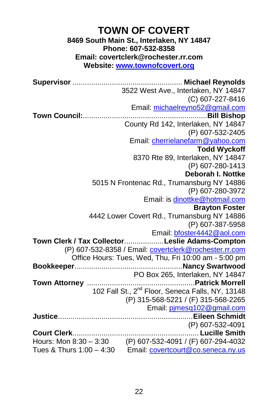# **TOWN OF COVERT 8469 South Main St., Interlaken, NY 14847 Phone: 607-532-8358 Email: covertclerk@rochester.rr.com Website[: www.townofcovert.org](http://www.townofcovert.org/)**

**Supervisor** ..................................................... **Michael Reynolds** 3522 West Ave., Interlaken, NY 14847 (C) 607-227-8416 Email: [michaelreyno52@gmail.com](mailto:michaelreyno52@gmail.com) **Town Council:**............................................................**Bill Bishop** County Rd 142, Interlaken, NY 14847 (P) 607-532-2405 Email: [cherrielanefarm@yahoo.com](mailto:cherrielanefarm@yahoo.com) **Todd Wyckoff** 8370 Rte 89, Interlaken, NY 14847 (P) 607-280-1413 **Deborah I. Nottke** 5015 N Frontenac Rd., Trumansburg NY 14886 (P) 607-280-3972 Email: i[s dinottke@hotmail.com](mailto:dinottke@hotmail.com) **Brayton Foster** 4442 Lower Covert Rd., Trumansburg NY 14886 (P) 607-387-5958 Email[: bfoster4442@aol.com](mailto:bfoster4442@aol.com) **Town Clerk / Tax Collector**...................**Leslie Adams-Compton** (P) 607-532-8358 / Email: [covertclerk@rochester.rr.com](mailto:covertclerk@rochester.rr.com) Office Hours: Tues, Wed, Thu, Fri 10:00 am - 5:00 pm **Bookkeeper**....................................................**Nancy Swartwood** PO Box 265, Interlaken, NY 14847 **Town Attorney** ....................................................**Patrick Morrell** 102 Fall St., 2nd Floor, Seneca Falls, NY, 13148 (P) 315-568-5221 / (F) 315-568-2265 Email[: pjmesq102@gmail.com](mailto:pjmesq102@gmail.com) **Justice**.................................................................**Eileen Schmidt** (P) 607-532-4091 **Court Clerk**............................................................. **Lucille Smith** Hours: Mon 8:30 – 3:30 (P) 607-532-4091 / (F) 607-294-4032 Tues & Thurs 1:00 – 4:30 Email[: covertcourt@co.seneca.ny.us](mailto:covertcourt@co.seneca.ny.us)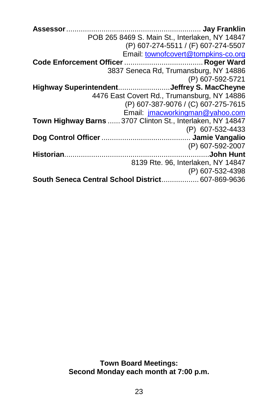**Assessor**................................................................. **Jay Franklin** POB 265 8469 S. Main St., Interlaken, NY 14847 (P) 607-274-5511 / (F) 607-274-5507 Email[: townofcovert@tompkins-co.org](mailto:townofcovert@tompkins-co.org) **Code Enforcement Officer**...................................... **Roger Ward** 3837 Seneca Rd, Trumansburg, NY 14886 (P) 607-592-5721 **Highway Superintendent**.........................**Jeffrey S. MacCheyne** 4476 East Covert Rd., Trumansburg, NY 14886 (P) 607-387-9076 / (C) 607-275-7615 Email: [jmacworkingman@yahoo.com](mailto:jmacworkingman@yahoo.com) **Town Highway Barns** ...... 3707 Clinton St., Interlaken, NY 14847 (P) 607-532-4433 **Dog Control Officer**........................................... **Jamie Vangalio** (P) 607-592-2007 **Historian**......................................................................**John Hunt** 8139 Rte. 96, Interlaken, NY 14847 (P) 607-532-4398 **South Seneca Central School District**.................. 607-869-9636

> **Town Board Meetings: Second Monday each month at 7:00 p.m.**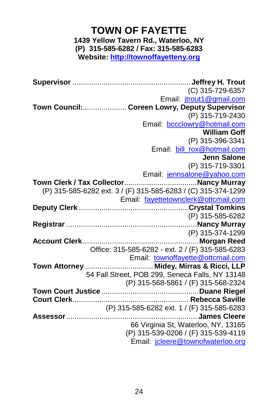# **TOWN OF FAYETTE 1439 Yellow Tavern Rd., Waterloo, NY (P) 315-585-6282 / Fax: 315-585-6283 Website[: http://townoffayetteny.org](http://townoffayetteny.org/)**

**Supervisor** .........................................................**Jeffrey H. Trout** (C) 315-729-6357 Email: [jtrout1@gmail.com](mailto:jtrout1@gmail.com) **Town Council:**..................... **Coreen Lowry, Deputy Supervisor** (P) 315-719-2430 Email: [bccclowry@hotmail.com](mailto:bccclowry@hotmail.com) **William Goff** (P) 315-396-3341 Email: [bill\\_rox@hotmail.com](mailto:bill_rox@hotmail.com) **Jenn Salone** (P) 315-719-3301 Email: [jennsalone@yahoo.com](mailto:jennsalone@yahoo.com) **Town Clerk / Tax Collector**...................................**Nancy Murray** (P) 315-585-6282 ext. 3 / (F) 315-585-6283 / (C) 315-374-1299 Email: [fayettetownclerk@](mailto:fayettetownclerk@fltg.net)ottcmail.com **Deputy Clerk** .....................................................**Crystal Tomkins** (P) 315-585-6282 **Registrar** ...............................................................**Nancy Murray** (P) 315-374-1299 **Account Clerk**........................................................**Morgan Reed** Office: 315-585-6282 - ext. 2 / (F) 315-585-6283 Email: [townoffayette@ottcmail.com](mailto:townoffayette@ottcmail.com) **Town Attorney** ................................. **Midey, Mirras & Ricci, LLP** 54 Fall Street, POB 299, Seneca Falls, NY 13148 (P) 315-568-5861 / (F) 315-568-2324 **Town Court Justice** ...............................................**Duane Riegel Court Clerk**........................................................ **Rebecca Saville** (P) 315-585-6282 ext. 1 / (F) 315-585-6283 **Assessor**............................................................... **James Cleere** 66 Virginia St, Waterloo, NY, 13165 (P) 315-539-0206 / (F) 315-539-4119 Email: [jcleere@townofwaterloo.org](mailto:jcleere@townofwaterloo.org)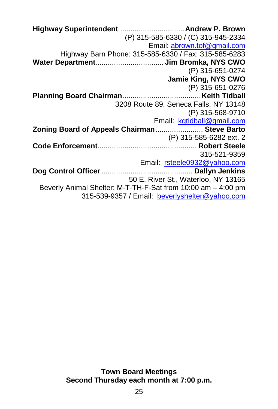**Highway Superintendent**................................**Andrew P. Brown** (P) 315-585-6330 / (C) 315-945-2334 Email: [abrown.tof@gmail.com](mailto:abrown.tof@gmail.com) Highway Barn Phone: 315-585-6330 / Fax: 315-585-6283 **Water Department**................................. **Jim Bromka, NYS CWO** (P) 315-651-0274 **Jamie King, NYS CWO** (P) 315-651-0276 **Planning Board Chairman**......................................**Keith Tidball** 3208 Route 89, Seneca Falls, NY 13148 (P) 315-568-9710 Email: [kgtidball@gmail.com](mailto:kgtidball@gmail.com) **Zoning Board of Appeals Chairman**....................... **Steve Barto** (P) 315-585-6282 ext. 2 **Code Enforcement**................................................ **Robert Steele** 315-521-9359 Email: [rsteele0932@yahoo.com](mailto:rsteele0932@yahoo.com) **Dog Control Officer**............................................ **Dallyn Jenkins** 50 E. River St., Waterloo, NY 13165 Beverly Animal Shelter: M-T-TH-F-Sat from 10:00 am – 4:00 pm 315-539-9357 / Email: [beverlyshelter@yahoo.com](mailto:beverlyshelter@yahoo.com)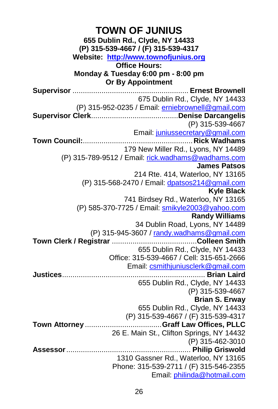**TOWN OF JUNIUS 655 Dublin Rd., Clyde, NY 14433 (P) 315-539-4667 / (F) 315-539-4317 Website: [http://www.townofjunius.org](http://www.townofjunius.org/) Office Hours: Monday & Tuesday 6:00 pm - 8:00 pm Or By Appointment Supervisor** ........................................................ **Ernest Brownell** 675 Dublin Rd., Clyde, NY 14433 (P) 315-952-0235 / Email: [erniebrownell@gmail.com](mailto:erniebrownell@gmail.com) **Supervisor Clerk**..........................................**Denise Darcangelis** (P) 315-539-4667 Email[: juniussecretary@gmail.com](mailto:juniussecretary@gmail.com) **Town Council:**.....................................................**Rick Wadhams** 179 New Miller Rd., Lyons, NY 14489 (P) 315-789-9512 / Email[: rick.wadhams@wadhams.com](mailto:rick.wadhams@wadhams.com) **James Patsos** 214 Rte. 414, Waterloo, NY 13165 (P) 315-568-2470 / Email: [dpatsos214@gmail.com](mailto:dpatsos214@gmail.com)  **Kyle Black** 741 Birdsey Rd., Waterloo, NY 13165 (P) 585-370-7725 / Email[: smikyle2003@yahoo.com](mailto:smikyle2003@yahoo.com) **Randy Williams** 34 Dublin Road, Lyons, NY 14489 (P) 315-945-3607 / [randy.wadhams@gmail.com](mailto:randy.wadhams@gmail.com) **Town Clerk / Registrar** .........................................**Colleen Smith** 655 Dublin Rd., Clyde, NY 14433 Office: 315-539-4667 / Cell: 315-651-2666 Email: [csmithjuniusclerk@gmail.com](mailto:csmithjuniusclerk@gmail.com) **Justices**..................................................................... **Brian Laird** 655 Dublin Rd., Clyde, NY 14433 (P) 315-539-4667 **Brian S. Erway** 655 Dublin Rd., Clyde, NY 14433 (P) 315-539-4667 / (F) 315-539-4317 **Town Attorney** .....................................**Graff Law Offices, PLLC** 26 E. Main St., Clifton Springs, NY 14432 (P) 315-462-3010 **Assessor**............................................................ **Philip Griswold** 1310 Gassner Rd., Waterloo, NY 13165 Phone: 315-539-2711 / (F) 315-546-2355 Email: [philinda@hotmail.com](mailto:philinda@hotmail.com)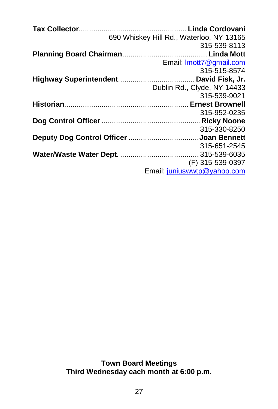|                                         | 690 Whiskey Hill Rd., Waterloo, NY 13165       |
|-----------------------------------------|------------------------------------------------|
|                                         | 315-539-8113                                   |
|                                         |                                                |
|                                         | Email: Imott7@gmail.com                        |
|                                         | 315-515-8574                                   |
|                                         |                                                |
|                                         | Dublin Rd., Clyde, NY 14433                    |
|                                         | 315-539-9021                                   |
|                                         |                                                |
|                                         |                                                |
|                                         | 315-952-0235                                   |
|                                         |                                                |
|                                         | 315-330-8250                                   |
| Deputy Dog Control Officer Joan Bennett |                                                |
|                                         | 315-651-2545                                   |
|                                         |                                                |
|                                         | (F) 315-539-0397<br>Email juniuswwtp@yahoo.com |

**Town Board Meetings Third Wednesday each month at 6:00 p.m.**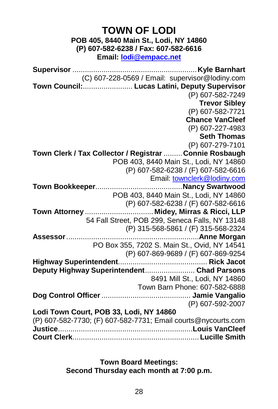# **TOWN OF LODI POB 405, 8440 Main St., Lodi, NY 14860 (P) 607-582-6238 / Fax: 607-582-6616 Email: [lodi@empacc.net](mailto:lodi@empacc.net) Supervisor** ............................................................**Kyle Barnhart** (C) 607-228-0569 / Email: supervisor@lodiny.com **Town Council:**........................ **Lucas Latini, Deputy Supervisor** (P) 607-582-7249 **Trevor Sibley** (P) 607-582-7721 **Chance VanCleef** (P) 607-227-4983 **Seth Thomas** (P) 607-279-7101 **Town Clerk / Tax Collector / Registrar** .........**Connie Rosbaugh** POB 403, 8440 Main St., Lodi, NY 14860 (P) 607-582-6238 / (F) 607-582-6616 Email: [townclerk@lodiny.com](mailto:townclerk@lodiny.com) **Town Bookkeeper**..........................................**Nancy Swartwood** POB 403, 8440 Main St., Lodi, NY 14860 (P) 607-582-6238 / (F) 607-582-6616 **Town Attorney** ................................. **Midey, Mirras & Ricci, LLP** 54 Fall Street, POB 299, Seneca Falls, NY 13148 (P) 315-568-5861 / (F) 315-568-2324 **Assessor**................................................................**Anne Morgan** PO Box 355, 7202 S. Main St., Ovid, NY 14541 (P) 607-869-9689 / (F) 607-869-9254 **Highway Superintendent**........................................... **Rick Jacot Deputy Highway Superintendent**........................ **Chad Parsons** 8491 Mill St., Lodi, NY 14860 Town Barn Phone: 607-582-6888 **Dog Control Officer**........................................... **Jamie Vangalio** (P) 607-592-2007 **Lodi Town Court, POB 33, Lodi, NY 14860** (P) 607-582-7730; (F) 607-582-7731; Email courts@nycourts.com **Justice**.................................................................**Louis VanCleef Court Clerk**............................................................. **Lucille Smith**

**Town Board Meetings: Second Thursday each month at 7:00 p.m.**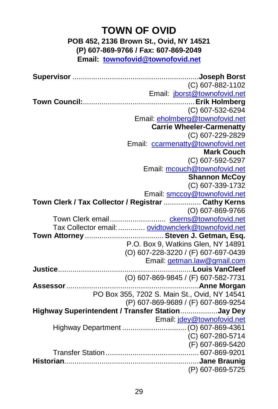# **TOWN OF OVID**

# **POB 452, 2136 Brown St., Ovid, NY 14521 (P) 607-869-9766 / Fax: 607-869-2049 Email: [townofovid@townofovid.net](mailto:townofovid@townofovid.net)**

**Supervisor** .............................................................**Joseph Borst** (C) 607-882-1102 Email: [jborst@townofovid.net](mailto:jborst@townofovid.net) **Town Council:**......................................................**Erik Holmberg** (C) 607-532-6294 Email[: eholmberg@townofovid.net](mailto:eholmberg@townofovid.net) **Carrie Wheeler-Carmenatty** (C) 607-229-2829 Email: [ccarmenatty@townofovid.net](mailto:ccarmenatty@townofovid.net) **Mark Couch** (C) 607-592-5297 Email[: mcouch@townofovid.net](mailto:mcouch@townofovid.net) **Shannon McCoy** (C) 607-339-1732 Email[: smccoy@townofovid.net](mailto:smccoy@townofovid.net) **Town Clerk / Tax Collector / Registrar** .................. **Cathy Kerns** (O) 607-869-9766 Town Clerk email........................... [ckerns@townofovid.net](mailto:ckerns@townofovid.net) Tax Collector email:............. [ovidtownclerk@townofovid.net](mailto:ovidtownclerk@townofovid.net) **Town Attorney** ...................................... **Steven J. Getman, Esq.** P.O. Box 9, Watkins Glen, NY 14891 (O) 607-228-3220 / (F) 607-697-0439 Email[: getman.law@gmail.com](mailto:getman.law@gmail.com) **Justice**.................................................................**Louis VanCleef** (O) 607-869-9845 / (F) 607-582-7731 **Assessor**................................................................**Anne Morgan** PO Box 355, 7202 S. Main St., Ovid, NY 14541 (P) 607-869-9689 / (F) 607-869-9254 **Highway Superintendent / Transfer Station**..................**Jay Dey** Email[: jdey@townofovid.net](mailto:jdey@townofovid.net) Highway Department ...............................(O) 607-869-4361 (C) 607-280-5714 (F) 607-869-5420 Transfer Station............................................. 607-869-9201 **Historian**.................................................................**Jane Braunig** (P) 607-869-5725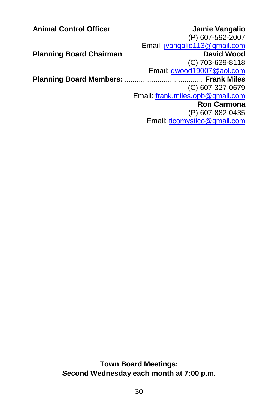| (P) 607-592-2007                 |
|----------------------------------|
| Email: jvangalio113@gmail.com    |
|                                  |
| (C) 703-629-8118                 |
| Email: dwood19007@aol.com        |
|                                  |
| $(C)$ 607-327-0679               |
| Email: frank.miles.opb@gmail.com |
| <b>Ron Carmona</b>               |
| (P) 607-882-0435                 |
| Email: ticomystico@gmail.com     |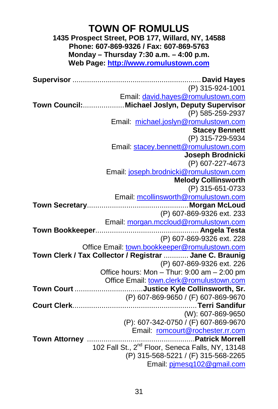# **TOWN OF ROMULUS**

**1435 Prospect Street, POB 177, Willard, NY, 14588 Phone: 607-869-9326 / Fax: 607-869-5763 Monday – Thursday 7:30 a.m. – 4:00 p.m. Web Page[: http://www.romulustown.com](http://www.romulustown.com/)**

**Supervisor** .............................................................. **David Hayes** (P) 315-924-1001 Email: [david.hayes@romulustown.com](mailto:david.hayes@romulustown.com) **Town Council:**....................**Michael Joslyn, Deputy Supervisor** (P) 585-259-2937 Email: [michael.joslyn@romulustown.com](mailto:michael.joslyn@romulustown.com) **Stacey Bennett** (P) 315-729-5934 Email: [stacey.bennett@romulustown.com](mailto:stacey.bennett@romulustown.com) **Joseph Brodnicki** (P) 607-227-4673 Email[: joseph.brodnicki@romulustown.com](mailto:joseph.brodnicki@romulustown.com) **Melody Collinsworth** (P) 315-651-0733 Email[: mcollinsworth@romulustown.com](mailto:mcollinsworth@romulustown.com) **Town Secretary**.................................................**Morgan McLoud** (P) 607-869-9326 ext. 233 Email: [morgan.mccloud@romulustown.com](mailto:morgan.mccloud@romulustown.com) **Town Bookkeeper**.................................................. **Angela Testa** (P) 607-869-9326 ext. 228 Office Email: [town.bookkeeper@romulustown.com](mailto:town.bookkeeper@romulustown.com) **Town Clerk / Tax Collector / Registrar** ............ **Jane C. Braunig** (P) 607-869-9326 ext. 226 Office hours: Mon – Thur: 9:00 am – 2:00 pm Office Email[: town.clerk@romulustown.com](mailto:town.clerk@romulustown.com) **Town Court** .................................**Justice Kyle Collinsworth, Sr.** (P) 607-869-9650 / (F) 607-869-9670 **Court Clerk**............................................................**Terri Sandifur** (W): 607-869-9650 (P): 607-342-0750 / (F) 607-869-9670 Email: [romcourt@rochester.rr.com](mailto:romcourt@rochester.rr.com) **Town Attorney** ....................................................**Patrick Morrell** 102 Fall St., 2<sup>nd</sup> Floor, Seneca Falls, NY, 13148 (P) 315-568-5221 / (F) 315-568-2265 Email[: pjmesq102@gmail.com](mailto:pjmesq102@gmail.com)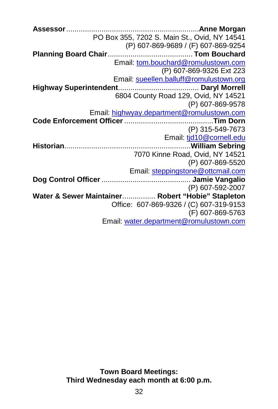**Assessor**................................................................**Anne Morgan** PO Box 355, 7202 S. Main St., Ovid, NY 14541 (P) 607-869-9689 / (F) 607-869-9254 **Planning Board Chair**......................................... **Tom Bouchard** Email[: tom.bouchard@romulustown.com](mailto:tom.bouchard@romulustown.com) (P) 607-869-9326 Ext 223 Email[: sueellen.balluff@romulustown.org](mailto:sueellen.balluff@romulustown.org) **Highway Superintendent**....................................... **Daryl Morrell** 6804 County Road 129, Ovid, NY 14521 (P) 607-869-9578 Email: [highwyay.department@romulustown.com](mailto:highwyay.department@romulustown.com) **Code Enforcement Officer**...........................................**Tim Dorn** (P) 315-549-7673 Email: tid10@cornell.edu **Historian**.............................................................**William Sebring** 7070 Kinne Road, Ovid, NY 14521 (P) 607-869-5520 Email: [steppingstone@ottcmail.com](mailto:steppingstone@ottcmail.com) **Dog Control Officer**........................................... **Jamie Vangalio** (P) 607-592-2007 **Water & Sewer Maintainer**................ **Robert "Hobie" Stapleton** Office: 607-869-9326 / (C) 607-319-9153 (F) 607-869-5763 Email: [water.department@romulustown.com](mailto:water.department@romulustown.com)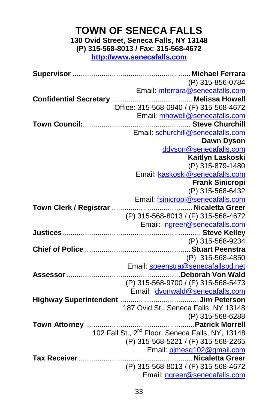# **TOWN OF SENECA FALLS 130 Ovid Street, Seneca Falls, NY 13148**

**(P) 315-568-8013 / Fax: 315-568-4672**

**[http://www.senecafalls.com](http://www.senecafalls.com/)**

**Supervisor** .........................................................**Michael Ferrara** (P) 315-856-0784 Email: [mferrara@senecafalls.com](mailto:mferrara@senecafalls.com) **Confidential Secretary** .......................................**Melissa Howell** Office: 315-568-0940 / (F) 315-568-4672 Email: [mhowell@senecafalls.com](mailto:mhowell@senecafalls.com) **Town Council:**.................................................... **Steve Churchill** Email: [schurchill@senecafalls.com](mailto:schurchill@senecafalls.com) **Dawn Dyson** [ddyson@senecafalls.com](mailto:ddyson@senecafalls.com) **Kaitlyn Laskoski** (P) 315-879-1480 Email: [kaskoski@senecafalls.com](mailto:kaskoski@senecafalls.com)  **Frank Sinicropi** (P) 315-568-6432 Email: [fsinicropi@senecafalls.com](mailto:fsinicropi@senecafalls.com) **Town Clerk / Registrar** .......................................**Nicaletta Greer** (P) 315-568-8013 / (F) 315-568-4672 Email: [ngreer@senecafalls.com](mailto:ngreer@senecafalls.com) **Justices**................................................................... **Steve Kelley** (P) 315-568-9234 **Chief of Police** ...................................................**Stuart Peenstra** (P) 315-568-4850 Email[: speenstra@senecafallspd.net](mailto:speenstra@senecafallspd.net) **Assessor**.......................................................**Deborah Von Wald** (P) 315-568-9700 / (F) 315-568-5473 Email: [dvonwald@senecafalls.com](mailto:dvonwald@senecafalls.com) **Highway Superintendent**.......................................**Jim Peterson** 187 Ovid St., Seneca Falls, NY 13148 (P) 315-568-6288 **Town Attorney** ....................................................**Patrick Morrell** 102 Fall St., 2<sup>nd</sup> Floor, Seneca Falls, NY, 13148 (P) 315-568-5221 / (F) 315-568-2265 Email[: pjmesq102@gmail.com](mailto:pjmesq102@gmail.com) **Tax Receiver**.......................................................**Nicaletta Greer** (P) 315-568-8013 / (F) 315-568-4672 Email[: ngreer@senecafalls.com](mailto:ngreer@senecafalls.com)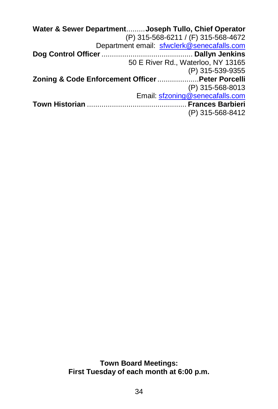| Water & Sewer DepartmentJoseph Tullo, Chief Operator |                                            |
|------------------------------------------------------|--------------------------------------------|
|                                                      | (P) 315-568-6211 / (F) 315-568-4672        |
|                                                      | Department email: sfwclerk@senecafalls.com |
|                                                      |                                            |
|                                                      | 50 E River Rd., Waterloo, NY 13165         |
|                                                      | (P) 315-539-9355                           |
| Zoning & Code Enforcement Officer  Peter Porcelli    |                                            |
|                                                      | (P) 315-568-8013                           |
|                                                      | Email: sfzoning@senecafalls.com            |
|                                                      |                                            |
|                                                      | (P) 315-568-8412                           |
|                                                      |                                            |

**Town Board Meetings: First Tuesday of each month at 6:00 p.m.**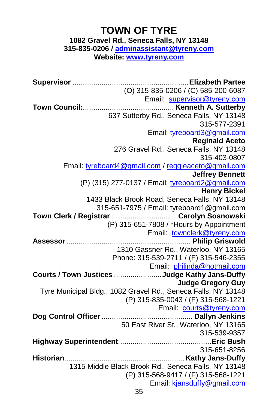# **TOWN OF TYRE**

**1082 Gravel Rd., Seneca Falls, NY 13148**

**315-835-0206 / [adminassistant@tyreny.com](mailto:adminassistant@tyreny.com)**

**Website: [www.tyreny.com](http://www.tyreny.com/)**

**Supervisor** ........................................................**Elizabeth Partee** (O) 315-835-0206 / (C) 585-200-6087 Email: [supervisor@tyreny.com](mailto:supervisor@tyreny.com) **Town Council:**............................................ **Kenneth A. Sutterby** 637 Sutterby Rd., Seneca Falls, NY 13148 315-577-2391 Email: [tyreboard3@gmail.com](mailto:tyreboard3@gmail.com) **Reginald Aceto** 276 Gravel Rd., Seneca Falls, NY 13148 315-403-0807 Email: [tyreboard4@gmail.com](mailto:tyreboard4@gmail.com) [/ reggieaceto@gmail.com](mailto:reggieaceto@gmail.com) **Jeffrey Bennett** (P) (315) 277-0137 / Email: [tyreboard2@gmail.com](mailto:tyreboard2@gmail.com) **Henry Bickel** 1433 Black Brook Road, Seneca Falls, NY 13148 315-651-7975 / Email: tyreboard1@gmail.com **Town Clerk / Registrar** ................................**Carolyn Sosnowski** (P) 315-651-7808 / \*Hours by Appointment Email: [townclerk@tyreny.com](mailto:townclerk@tyreny.com) **Assessor**............................................................ **Philip Griswold** 1310 Gassner Rd., Waterloo, NY 13165 Phone: 315-539-2711 / (F) 315-546-2355 Email: [philinda@hotmail.com](mailto:philinda@hotmail.com) **Courts / Town Justices** .......................**Judge Kathy Jans-Duffy Judge Gregory Guy** Tyre Municipal Bldg., 1082 Gravel Rd., Seneca Falls, NY 13148 (P) 315-835-0043 / (F) 315-568-1221 Email: [courts@tyreny.com](mailto:courts@tyreny.com) **Dog Control Officer**............................................ **Dallyn Jenkins** 50 East River St., Waterloo, NY 13165 315-539-9357 **Highway Superintendent**.............................................**Eric Bush** 315-651-8256 **Historian**.......................................................... **Kathy Jans-Duffy** 1315 Middle Black Brook Rd., Seneca Falls, NY 13148 (P) 315-568-9417 / (F) 315-568-1221 Email: [kjansduffy@gmail.com](mailto:kjansduffy@gmail.com)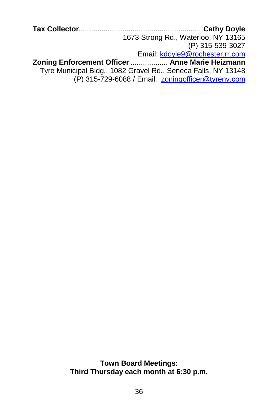**Tax Collector**............................................................**Cathy Doyle** 1673 Strong Rd., Waterloo, NY 13165 (P) 315-539-3027 Email: [kdoyle9@rochester.rr.com](mailto:kdoyle9@rochester.rr.com) **Zoning Enforcement Officer** .................. **Anne Marie Heizmann** Tyre Municipal Bldg., 1082 Gravel Rd., Seneca Falls, NY 13148 (P) 315-729-6088 / Email: [zoningofficer@tyreny.com](mailto:zoningofficer@tyreny.com)

> **Town Board Meetings: Third Thursday each month at 6:30 p.m.**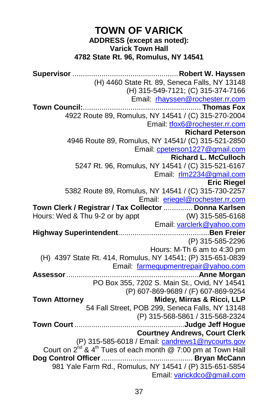# **TOWN OF VARICK ADDRESS (except as noted): Varick Town Hall 4782 State Rt. 96, Romulus, NY 14541**

**Supervisor** ...................................................**Robert W. Hayssen** (H) 4460 State Rt. 89, Seneca Falls, NY 13148 (H) 315-549-7121; (C) 315-374-7166 Email: [rhayssen@rochester.rr.com](mailto:rhayssen@rochester.rr.com) **Town Council:**......................................................... **Thomas Fox** 4922 Route 89, Romulus, NY 14541 / (C) 315-270-2004 Email[: tfox6@rochester.rr.com](mailto:tfox6@rochester.rr.com) **Richard Peterson** 4946 Route 89, Romulus, NY 14541/ (C) 315-521-2850 Email[: cpeterson1227@gmail.com](mailto:cpeterson1227@gmail.com) **Richard L. McCulloch** 5247 Rt. 96, Romulus, NY 14541 / (C) 315-521-6167 Email: [rlm2234@gmail.com](mailto:rlm2234@gmail.com) **Eric Riegel** 5382 Route 89, Romulus, NY 14541 / (C) 315-730-2257 Email: [eriegel@rochester.rr.com](mailto:eriegel@rochester.rr.com) **Town Clerk / Registrar / Tax Collector .............. Donna Karlsen**<br>Hours: Wed & Thu 9-2 or by appt (W) 315-585-6168 Hours: Wed & Thu 9-2 or by appt Email[: varclerk@yahoo.com](mailto:varclerk@yahoo.com) **Highway Superintendent**............................................**Ben Freier** (P) 315-585-2296 Hours: M-Th 6 am to 4:30 pm (H) 4397 State Rt. 414, Romulus, NY 14541; (P) 315-651-0839 Email: [farmequpmentrepair@yahoo.com](mailto:farmequpmentrepair@yahoo.com) **Assessor**................................................................**Anne Morgan** PO Box 355, 7202 S. Main St., Ovid, NY 14541 (P) 607-869-9689 / (F) 607-869-9254 **Town Attorney Midey, Mirras & Ricci, LLP** 54 Fall Street, POB 299, Seneca Falls, NY 13148 (P) 315-568-5861 / 315-568-2324 **Town Court** .....................................................**Judge Jeff Hogue Courtney Andrews, Court Clerk** (P) 315-585-6018 / Email: [candrews1@nycourts.gov](mailto:candrews1@nycourts.gov) Court on  $2^{hd}$  &  $4^{th}$  Tues of each month @ 7:00 pm at Town Hall **Dog Control Officer**............................................ **Bryan McCann** 981 Yale Farm Rd., Romulus, NY 14541 / (P) 315-651-5854 Email[: varickdco@gmail.com](mailto:varickdco@gmail.com)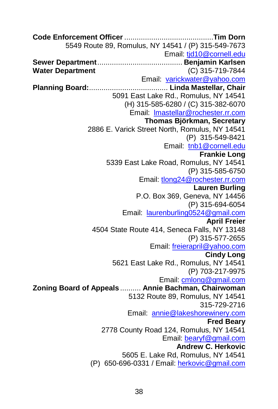**Code Enforcement Officer**...........................................**Tim Dorn** 5549 Route 89, Romulus, NY 14541 / (P) 315-549-7673 Email[: tjd10@cornell.edu](mailto:tjd10@cornell.edu) **Sewer Department**......................................... **Benjamin Karlsen Water Department** (C) 315-719-7844 Email: [varickwater@yahoo.com](mailto:varickwater@yahoo.com) **Planning Board:**...................................... **Linda Mastellar, Chair** 5091 East Lake Rd., Romulus, NY 14541 (H) 315-585-6280 / (C) 315-382-6070 Email: [lmastellar@rochester.rr.com](mailto:lmastellar@rochester.rr.com) **Thomas Björkman, Secretary** 2886 E. Varick Street North, Romulus, NY 14541 (P) 315-549-8421 Email: [tnb1@cornell.edu](mailto:tnb1@cornell.edu) **Frankie Long** 5339 East Lake Road, Romulus, NY 14541 (P) 315-585-6750 Email: [tlong24@rochester.rr.com](mailto:tlong24@rochester.rr.com) **Lauren Burling** P.O. Box 369, Geneva, NY 14456 (P) 315-694-6054 Email: [laurenburling0524@gmail.com](mailto:laurenburling0524@gmail.com) **April Freier** 4504 State Route 414, Seneca Falls, NY 13148 (P) 315-577-2655 Email[: freierapril@yahoo.com](mailto:freierapril@yahoo.com) **Cindy Long** 5621 East Lake Rd., Romulus, NY 14541 (P) 703-217-9975 Email[: cmlong@gmail.com](mailto:cmlong@gmail.com) **Zoning Board of Appeals** .......... **Annie Bachman, Chairwoman** 5132 Route 89, Romulus, NY 14541 315-729-2716 Email: [annie@lakeshorewinery.com](mailto:annie@lakeshorewinery.com) **Fred Beary** 2778 County Road 124, Romulus, NY 14541 Email: [bearyf@gmail.com](mailto:bearyf@gmail.com) **Andrew C. Herkovic** 5605 E. Lake Rd, Romulus, NY 14541 (P) 650-696-0331 / Email[: herkovic@gmail.com](mailto:herkovic@gmail.com)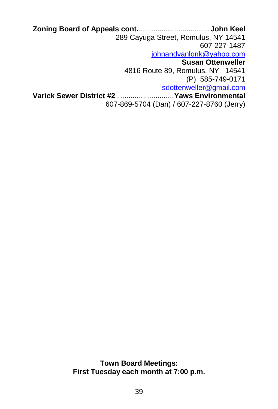**Zoning Board of Appeals cont.**.................................. **John Keel** 289 Cayuga Street, Romulus, NY 14541 607-227-1487 [johnandvanlonk@yahoo.com](mailto:johnandvanlonk@yahoo.com) **Susan Ottenweller** 4816 Route 89, Romulus, NY 14541 (P) 585-749-0171 [sdottenweller@gmail.com](mailto:sdottenweller@gmail.com) **Varick Sewer District #2**............................**Yaws Environmental** 607-869-5704 (Dan) / 607-227-8760 (Jerry)

> **Town Board Meetings: First Tuesday each month at 7:00 p.m.**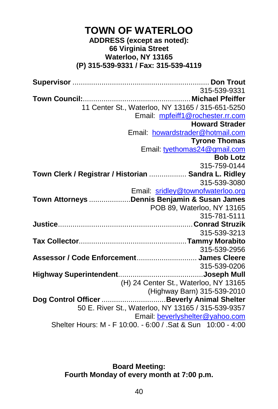# **TOWN OF WATERLOO ADDRESS (except as noted): 66 Virginia Street Waterloo, NY 13165 (P) 315-539-9331 / Fax: 315-539-4119**

**Supervisor** .................................................................. **Don Trout** 315-539-9331 **Town Council:**....................................................**Michael Pfeiffer** 11 Center St., Waterloo, NY 13165 / 315-651-5250 Email: [mpfeiff1@rochester.rr.com](mailto:mpfeiff1@rochester.rr.com) **Howard Strader** Email: [howardstrader@hotmail.com](mailto:howardstrader@hotmail.com) **Tyrone Thomas** Email[: tyethomas24@gmail.com](mailto:tyethomas24@gmail.com) **Bob Lotz** 315-759-0144 **Town Clerk / Registrar / Historian** .................. **Sandra L. Ridley** 315-539-3080 Email: [sridley@townofwaterloo.org](mailto:sridley@townofwaterloo.org) **Town Attorneys** ....................**Dennis Benjamin & Susan James** POB 89, Waterloo, NY 13165 315-781-5111 **Justice**.................................................................**Conrad Struzik** 315-539-3213 **Tax Collector**....................................................**Tammy Morabito** 315-539-2956 **Assessor / Code Enforcement**............................. **James Cleere** 315-539-0206 **Highway Superintendent**.........................................**Joseph Mull** (H) 24 Center St., Waterloo, NY 13165 (Highway Barn) 315-539-2010 **Dog Control Officer**...............................**Beverly Animal Shelter** 50 E. River St., Waterloo, NY 13165 / 315-539-9357 Email: [beverlyshelter@yahoo.com](mailto:beverlyshelter@yahoo.com) Shelter Hours: M - F 10:00. - 6:00 / .Sat & Sun 10:00 - 4:00

> **Board Meeting: Fourth Monday of every month at 7:00 p.m.**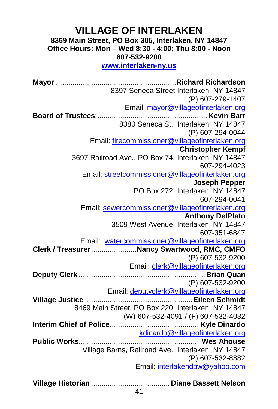# **VILLAGE OF INTERLAKEN**

**8369 Main Street, PO Box 305, Interlaken, NY 14847 Office Hours: Mon – Wed 8:30 - 4:00; Thu 8:00 - Noon 607-532-9200**

**[www.interlaken-ny.us](http://www.interlaken-ny.us/)**

**Mayor** ..........................................................**Richard Richardson** 8397 Seneca Street Interlaken, NY 14847 (P) 607-279-1407 Email: [mayor@villageofinterlaken.org](mailto:mayor@villageofinterlaken.org) **Board of Trustees**:..................................................... **Kevin Barr** 8380 Seneca St., Interlaken, NY 14847 (P) 607-294-0044 Email[: firecommissioner@villageofinterlaken.org](mailto:firecommissioner@villageofinterlaken.org) **Christopher Kempf** 3697 Railroad Ave., PO Box 74, Interlaken, NY 14847 607-294-4023 Email[: streetcommissioner@villageofinterlaken.org](mailto:streetcommissioner@villageofinterlaken.org) **Joseph Pepper** PO Box 272, Interlaken, NY 14847 607-294-0041 Email[: sewercommissioner@villageofinterlaken.org](mailto:sewercommissioner@villageofinterlaken.org) **Anthony DelPlato** 3509 West Avenue, Interlaken, NY 14847 607-351-6847 Email: [watercommissioner@villageofinterlaken.org](mailto:watercommissioner@villageofinterlaken.org) **Clerk / Treasurer**......................**Nancy Swartwood, RMC, CMFO** (P) 607-532-9200 Email: [clerk@villageofinterlaken.org](mailto:clerk@villageofinterlaken.org) **Deputy Clerk** .............................................................**Brian Quan** (P) 607-532-9200 Email: [deputyclerk@villageofinterlaken.org](mailto:deputyclerk@villageofinterlaken.org) **Village Justice** ....................................................**Eileen Schmidt** 8469 Main Street, PO Box 220, Interlaken, NY 14847 (W) 607-532-4091 / (F) 607-532-4032 **Interim Chief of Police**........................................... **Kyle Dinardo** [kdinardo@villageofinterlaken.org](mailto:kdinardo@villageofinterlaken.org) **Public Works**...........................................................**Wes Ahouse** Village Barns, Railroad Ave., Interlaken, NY 14847 (P) 607-532-8882 Email[: interlakendpw@yahoo.com](mailto:interlakendpw@yahoo.com) **Village Historian** ...................................... **Diane Bassett Nelson**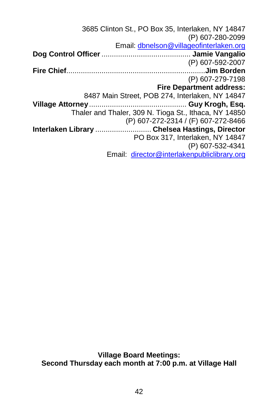3685 Clinton St., PO Box 35, Interlaken, NY 14847 (P) 607-280-2099 Email[: dbnelson@villageofinterlaken.org](mailto:dbnelson@villageofinterlaken.org) **Dog Control Officer**........................................... **Jamie Vangalio** (P) 607-592-2007 **Fire Chief**...................................................................**Jim Borden** (P) 607-279-7198 **Fire Department address:** 8487 Main Street, POB 274, Interlaken, NY 14847 **Village Attorney**............................................... **Guy Krogh, Esq.** Thaler and Thaler, 309 N. Tioga St., Ithaca, NY 14850 (P) 607-272-2314 / (F) 607-272-8466 **Interlaken Library** ........................... **Chelsea Hastings, Director** PO Box 317, Interlaken, NY 14847 (P) 607-532-4341 Email: [director@interlakenpubliclibrary.org](mailto:director@interlakenpubliclibrary.org)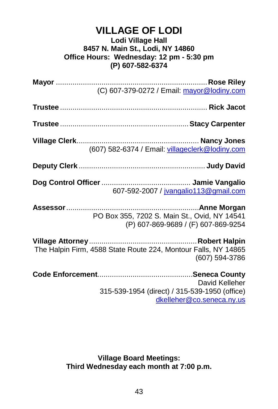# **VILLAGE OF LODI Lodi Village Hall 8457 N. Main St., Lodi, NY 14860 Office Hours: Wednesday: 12 pm - 5:30 pm (P) 607-582-6374**

| (C) 607-379-0272 / Email: mayor@lodiny.com                                                   |
|----------------------------------------------------------------------------------------------|
|                                                                                              |
|                                                                                              |
| (607) 582-6374 / Email: villageclerk@lodiny.com                                              |
|                                                                                              |
| 607-592-2007 / jvangalio113@gmail.com                                                        |
| PO Box 355, 7202 S. Main St., Ovid, NY 14541<br>(P) 607-869-9689 / (F) 607-869-9254          |
| The Halpin Firm, 4588 State Route 224, Montour Falls, NY 14865<br>(607) 594-3786             |
| David Kelleher<br>315-539-1954 (direct) / 315-539-1950 (office)<br>dkelleher@co.seneca.ny.us |

**Village Board Meetings: Third Wednesday each month at 7:00 p.m.**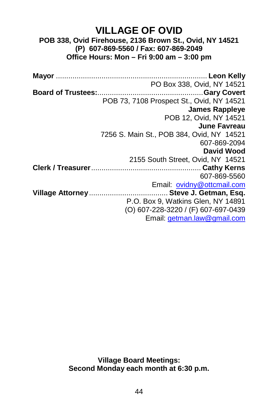# **VILLAGE OF OVID POB 338, Ovid Firehouse, 2136 Brown St., Ovid, NY 14521 (P) 607-869-5560 / Fax: 607-869-2049 Office Hours: Mon – Fri 9:00 am – 3:00 pm**

**Mayor** ......................................................................... **Leon Kelly** PO Box 338, Ovid, NY 14521 **Board of Trustees:**...................................................**Gary Covert** POB 73, 7108 Prospect St., Ovid, NY 14521 **James Rappleye** POB 12, Ovid, NY 14521 **June Favreau** 7256 S. Main St., POB 384, Ovid, NY 14521 607-869-2094 **David Wood** 2155 South Street, Ovid, NY 14521 **Clerk / Treasurer**..................................................... **Cathy Kerns** 607-869-5560 Email: [ovidny@ottcmail.com](mailto:ovidny@ottcmail.com) **Village Attorney**...................................... **Steve J. Getman, Esq.** P.O. Box 9, Watkins Glen, NY 14891 (O) 607-228-3220 / (F) 607-697-0439 Email[: getman.law@gmail.com](mailto:getman.law@gmail.com)

> **Village Board Meetings: Second Monday each month at 6:30 p.m.**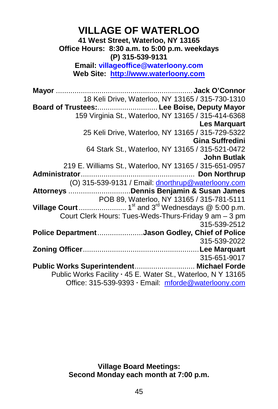# **VILLAGE OF WATERLOO**

**41 West Street, Waterloo, NY 13165 Office Hours: 8:30 a.m. to 5:00 p.m. weekdays (P) 315-539-9131 Email: villageoffice@waterloony.com**

**Web Site: [http://www.waterloony.com](http://www.waterloony.com/)**

**Mayor** .................................................................. **Jack O'Connor** 18 Keli Drive, Waterloo, NY 13165 / 315-730-1310 **Board of Trustees:**............................. **Lee Boise, Deputy Mayor** 159 Virginia St., Waterloo, NY 13165 / 315-414-6368 **Les Marquart** 25 Keli Drive, Waterloo, NY 13165 / 315-729-5322 **Gina Suffredini** 64 Stark St., Waterloo, NY 13165 / 315-521-0472 **John Butlak** 219 E. Williams St., Waterloo, NY 13165 / 315-651-0957 **Administrator**....................................................... **Don Northrup** (O) 315-539-9131 / Email[: dnorthrup@waterloony.com](mailto:dnorthrup@waterloony.com) **Attorneys** ..............................**Dennis Benjamin & Susan James** POB 89, Waterloo, NY 13165 / 315-781-5111 **Village Court**....................... 1st and 3rd Wednesdays @ 5:00 p.m. Court Clerk Hours: Tues-Weds-Thurs-Friday 9 am – 3 pm 315-539-2512 **Police Department**......................**Jason Godley, Chief of Police** 315-539-2022 **Zoning Officer**........................................................**Lee Marquart** 315-651-9017 **Public Works Superintendent**............................. **Michael Forde** Public Works Facility **∙** 45 E. Water St., Waterloo, N Y 13165 Office: 315-539-9393 **∙** Email: [mforde@waterloony.com](mailto:sward@waterloony.com)

> **Village Board Meetings: Second Monday each month at 7:00 p.m.**